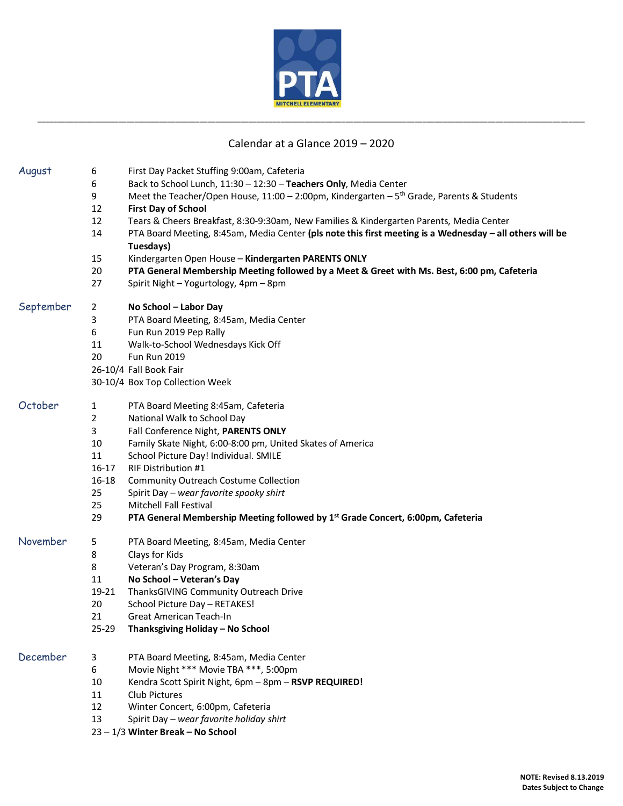

## Calendar at a Glance 2019 – 2020

\_\_\_\_\_\_\_\_\_\_\_\_\_\_\_\_\_\_\_\_\_\_\_\_\_\_\_\_\_\_\_\_\_\_\_\_\_\_\_\_\_\_\_\_\_\_\_\_\_\_\_\_\_\_\_\_\_\_\_\_\_\_\_\_\_\_\_\_\_\_\_\_\_\_\_\_\_\_\_\_\_\_\_\_\_\_\_\_\_\_\_\_\_\_\_\_\_\_\_\_\_\_\_\_\_\_\_\_\_\_\_\_\_\_\_\_\_\_\_\_\_\_\_\_\_\_\_\_\_\_\_\_\_\_\_

| August    | 6              | First Day Packet Stuffing 9:00am, Cafeteria                                                              |
|-----------|----------------|----------------------------------------------------------------------------------------------------------|
|           | 6              | Back to School Lunch, 11:30 - 12:30 - Teachers Only, Media Center                                        |
|           | 9              | Meet the Teacher/Open House, $11:00 - 2:00$ pm, Kindergarten - 5 <sup>th</sup> Grade, Parents & Students |
|           | 12             | <b>First Day of School</b>                                                                               |
|           | 12             | Tears & Cheers Breakfast, 8:30-9:30am, New Families & Kindergarten Parents, Media Center                 |
|           | 14             | PTA Board Meeting, 8:45am, Media Center (pls note this first meeting is a Wednesday - all others will be |
|           |                | Tuesdays)                                                                                                |
|           | 15             | Kindergarten Open House - Kindergarten PARENTS ONLY                                                      |
|           | 20             | PTA General Membership Meeting followed by a Meet & Greet with Ms. Best, 6:00 pm, Cafeteria              |
|           | 27             | Spirit Night - Yogurtology, 4pm - 8pm                                                                    |
| September | $\overline{2}$ | No School - Labor Day                                                                                    |
|           | 3              | PTA Board Meeting, 8:45am, Media Center                                                                  |
|           | 6              | Fun Run 2019 Pep Rally                                                                                   |
|           | 11             | Walk-to-School Wednesdays Kick Off                                                                       |
|           | 20             | <b>Fun Run 2019</b>                                                                                      |
|           |                | 26-10/4 Fall Book Fair                                                                                   |
|           |                | 30-10/4 Box Top Collection Week                                                                          |
| October   | 1              | PTA Board Meeting 8:45am, Cafeteria                                                                      |
|           | $\overline{2}$ | National Walk to School Day                                                                              |
|           | 3              | Fall Conference Night, PARENTS ONLY                                                                      |
|           | 10             | Family Skate Night, 6:00-8:00 pm, United Skates of America                                               |
|           | 11             | School Picture Day! Individual. SMILE                                                                    |
|           | $16 - 17$      | <b>RIF Distribution #1</b>                                                                               |
|           | 16-18          | Community Outreach Costume Collection                                                                    |
|           | 25             | Spirit Day - wear favorite spooky shirt                                                                  |
|           | 25             | Mitchell Fall Festival                                                                                   |
|           | 29             | PTA General Membership Meeting followed by 1 <sup>st</sup> Grade Concert, 6:00pm, Cafeteria              |
| November  | 5              | PTA Board Meeting, 8:45am, Media Center                                                                  |
|           | 8              | Clays for Kids                                                                                           |
|           | 8              | Veteran's Day Program, 8:30am                                                                            |
|           | 11             | No School - Veteran's Day                                                                                |
|           | 19-21          | ThanksGIVING Community Outreach Drive                                                                    |
|           | 20             | School Picture Day - RETAKES!                                                                            |
|           | 21             | Great American Teach-In                                                                                  |
|           | 25-29          | Thanksgiving Holiday - No School                                                                         |
| December  | 3              | PTA Board Meeting, 8:45am, Media Center                                                                  |
|           | 6              | Movie Night *** Movie TBA ***, 5:00pm                                                                    |
|           | 10             | Kendra Scott Spirit Night, 6pm - 8pm - RSVP REQUIRED!                                                    |
|           | 11             | Club Pictures                                                                                            |
|           | 12             | Winter Concert, 6:00pm, Cafeteria                                                                        |
|           | 13             | Spirit Day - wear favorite holiday shirt                                                                 |
|           |                | 23 - 1/3 Winter Break - No School                                                                        |